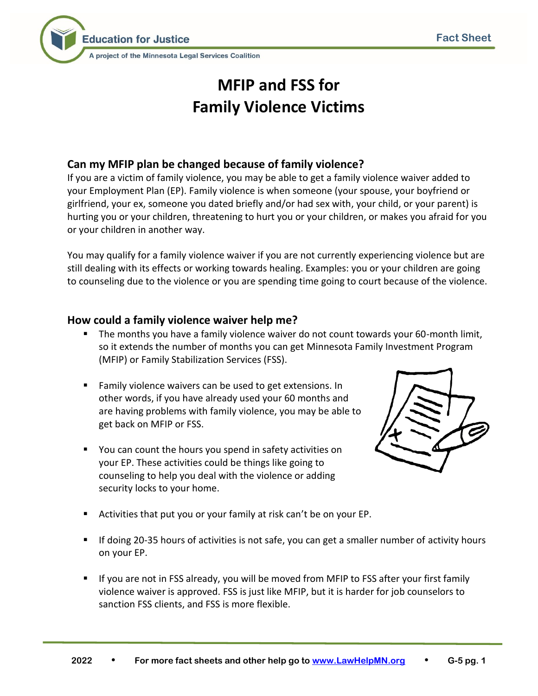

# **MFIP and FSS for Family Violence Victims**

# **Can my MFIP plan be changed because of family violence?**

If you are a victim of family violence, you may be able to get a family violence waiver added to your Employment Plan (EP). Family violence is when someone (your spouse, your boyfriend or girlfriend, your ex, someone you dated briefly and/or had sex with, your child, or your parent) is hurting you or your children, threatening to hurt you or your children, or makes you afraid for you or your children in another way.

You may qualify for a family violence waiver if you are not currently experiencing violence but are still dealing with its effects or working towards healing. Examples: you or your children are going to counseling due to the violence or you are spending time going to court because of the violence.

## **How could a family violence waiver help me?**

- The months you have a family violence waiver do not count towards your 60-month limit, so it extends the number of months you can get Minnesota Family Investment Program (MFIP) or Family Stabilization Services (FSS).
- Family violence waivers can be used to get extensions. In other words, if you have already used your 60 months and are having problems with family violence, you may be able to get back on MFIP or FSS.
- You can count the hours you spend in safety activities on your EP. These activities could be things like going to counseling to help you deal with the violence or adding security locks to your home.



- Activities that put you or your family at risk can't be on your EP.
- If doing 20-35 hours of activities is not safe, you can get a smaller number of activity hours on your EP.
- If you are not in FSS already, you will be moved from MFIP to FSS after your first family violence waiver is approved. FSS is just like MFIP, but it is harder for job counselors to sanction FSS clients, and FSS is more flexible.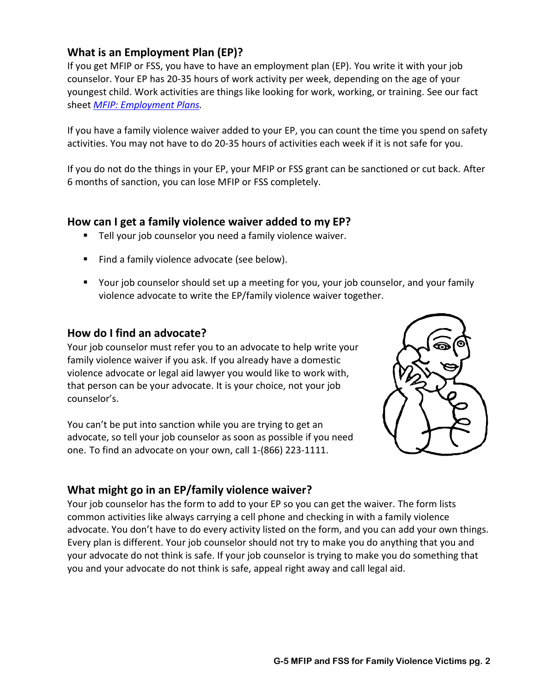# **What is an Employment Plan (EP)?**

If you get MFIP or FSS, you have to have an employment plan (EP). You write it with your job counselor. Your EP has 20-35 hours of work activity per week, depending on the age of your youngest child. Work activities are things like looking for work, working, or training. See our fact sheet *[MFIP: Employment Plans.](http://www.lawhelpmn.org/self-help-library/fact-sheet/mfip-employment-plans)*

If you have a family violence waiver added to your EP, you can count the time you spend on safety activities. You may not have to do 20-35 hours of activities each week if it is not safe for you.

If you do not do the things in your EP, your MFIP or FSS grant can be sanctioned or cut back. After 6 months of sanction, you can lose MFIP or FSS completely.

## **How can I get a family violence waiver added to my EP?**

- Tell your job counselor you need a family violence waiver.
- Find a family violence advocate (see below).
- Your job counselor should set up a meeting for you, your job counselor, and your family violence advocate to write the EP/family violence waiver together.

## **How do I find an advocate?**

Your job counselor must refer you to an advocate to help write your family violence waiver if you ask. If you already have a domestic violence advocate or legal aid lawyer you would like to work with, that person can be your advocate. It is your choice, not your job counselor's.

You can't be put into sanction while you are trying to get an advocate, so tell your job counselor as soon as possible if you need one. To find an advocate on your own, call 1-(866) 223-1111.



## **What might go in an EP/family violence waiver?**

Your job counselor has the form to add to your EP so you can get the waiver. The form lists common activities like always carrying a cell phone and checking in with a family violence advocate. You don't have to do every activity listed on the form, and you can add your own things. Every plan is different. Your job counselor should not try to make you do anything that you and your advocate do not think is safe. If your job counselor is trying to make you do something that you and your advocate do not think is safe, appeal right away and call legal aid.